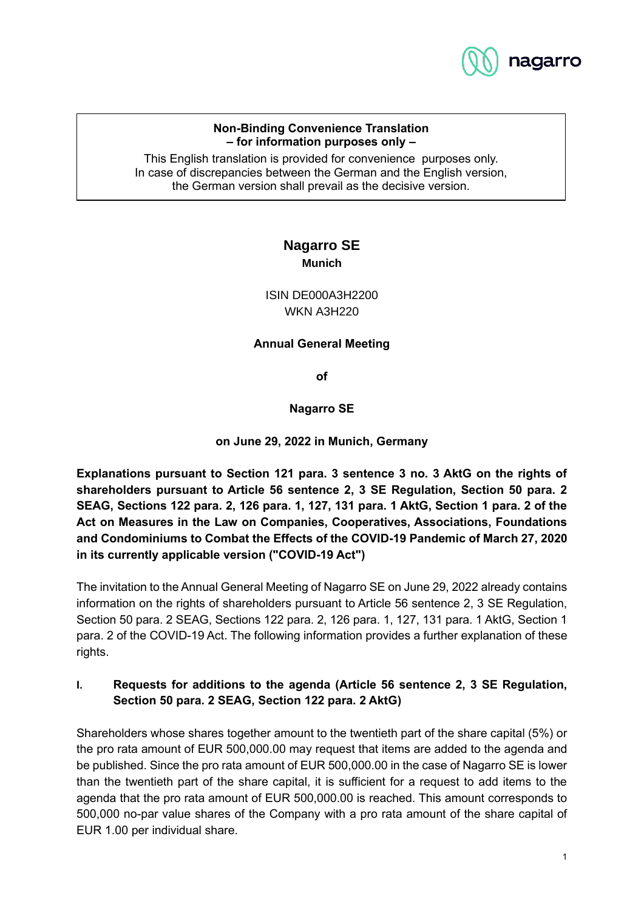

#### **Non-Binding Convenience Translation – for information purposes only –**

This English translation is provided for convenience purposes only. In case of discrepancies between the German and the English version, the German version shall prevail as the decisive version.

# **Nagarro SE Munich**

ISIN DE000A3H2200 WKN A3H220

### **Annual General Meeting**

**of**

### **Nagarro SE**

**on June 29, 2022 in Munich, Germany**

**Explanations pursuant to Section 121 para. 3 sentence 3 no. 3 AktG on the rights of shareholders pursuant to Article 56 sentence 2, 3 SE Regulation, Section 50 para. 2 SEAG, Sections 122 para. 2, 126 para. 1, 127, 131 para. 1 AktG, Section 1 para. 2 of the Act on Measures in the Law on Companies, Cooperatives, Associations, Foundations and Condominiums to Combat the Effects of the COVID-19 Pandemic of March 27, 2020 in its currently applicable version ("COVID-19 Act")**

The invitation to the Annual General Meeting of Nagarro SE on June 29, 2022 already contains information on the rights of shareholders pursuant to Article 56 sentence 2, 3 SE Regulation, Section 50 para. 2 SEAG, Sections 122 para. 2, 126 para. 1, 127, 131 para. 1 AktG, Section 1 para. 2 of the COVID-19 Act. The following information provides a further explanation of these rights.

## **I. Requests for additions to the agenda (Article 56 sentence 2, 3 SE Regulation, Section 50 para. 2 SEAG, Section 122 para. 2 AktG)**

Shareholders whose shares together amount to the twentieth part of the share capital (5%) or the pro rata amount of EUR 500,000.00 may request that items are added to the agenda and be published. Since the pro rata amount of EUR 500,000.00 in the case of Nagarro SE is lower than the twentieth part of the share capital, it is sufficient for a request to add items to the agenda that the pro rata amount of EUR 500,000.00 is reached. This amount corresponds to 500,000 no-par value shares of the Company with a pro rata amount of the share capital of EUR 1.00 per individual share.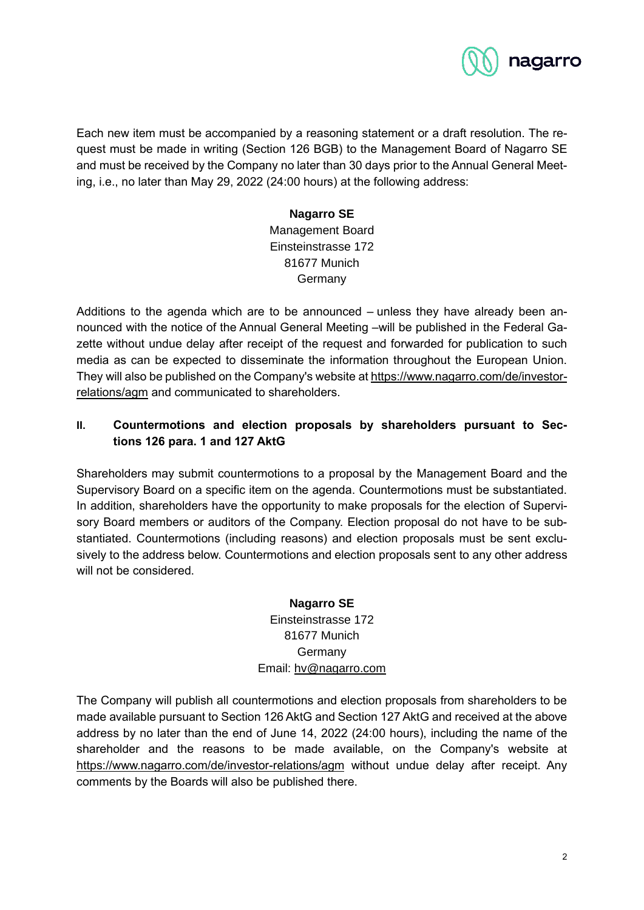

Each new item must be accompanied by a reasoning statement or a draft resolution. The request must be made in writing (Section 126 BGB) to the Management Board of Nagarro SE and must be received by the Company no later than 30 days prior to the Annual General Meeting, i.e., no later than May 29, 2022 (24:00 hours) at the following address:

# **Nagarro SE** Management Board Einsteinstrasse 172 81677 Munich Germany

Additions to the agenda which are to be announced – unless they have already been announced with the notice of the Annual General Meeting –will be published in the Federal Gazette without undue delay after receipt of the request and forwarded for publication to such media as can be expected to disseminate the information throughout the European Union. They will also be published on the Company's website at https://www.nagarro.com/de/investorrelations/agm and communicated to shareholders.

## **II. Countermotions and election proposals by shareholders pursuant to Sections 126 para. 1 and 127 AktG**

Shareholders may submit countermotions to a proposal by the Management Board and the Supervisory Board on a specific item on the agenda. Countermotions must be substantiated. In addition, shareholders have the opportunity to make proposals for the election of Supervisory Board members or auditors of the Company. Election proposal do not have to be substantiated. Countermotions (including reasons) and election proposals must be sent exclusively to the address below. Countermotions and election proposals sent to any other address will not be considered.

#### **Nagarro SE**

## Einsteinstrasse 172 81677 Munich **Germany** Email: hv@nagarro.com

The Company will publish all countermotions and election proposals from shareholders to be made available pursuant to Section 126 AktG and Section 127 AktG and received at the above address by no later than the end of June 14, 2022 (24:00 hours), including the name of the shareholder and the reasons to be made available, on the Company's website at https://www.nagarro.com/de/investor-relations/agm without undue delay after receipt. Any comments by the Boards will also be published there.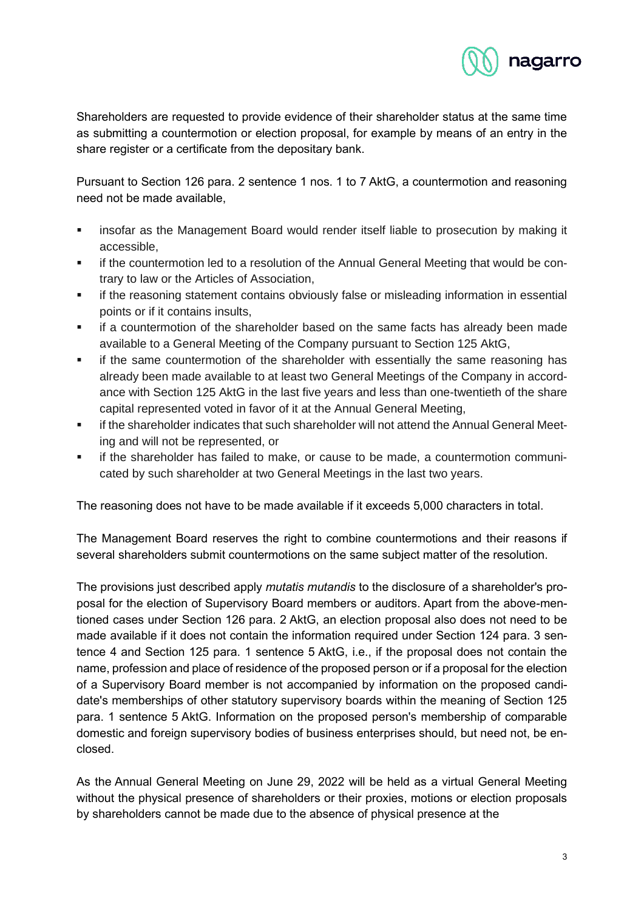

Shareholders are requested to provide evidence of their shareholder status at the same time as submitting a countermotion or election proposal, for example by means of an entry in the share register or a certificate from the depositary bank.

Pursuant to Section 126 para. 2 sentence 1 nos. 1 to 7 AktG, a countermotion and reasoning need not be made available,

- **■** insofar as the Management Board would render itself liable to prosecution by making it accessible,
- **■** if the countermotion led to a resolution of the Annual General Meeting that would be contrary to law or the Articles of Association,
- **■** if the reasoning statement contains obviously false or misleading information in essential points or if it contains insults,
- **■** if a countermotion of the shareholder based on the same facts has already been made available to a General Meeting of the Company pursuant to Section 125 AktG,
- **•** if the same countermotion of the shareholder with essentially the same reasoning has already been made available to at least two General Meetings of the Company in accordance with Section 125 AktG in the last five years and less than one-twentieth of the share capital represented voted in favor of it at the Annual General Meeting,
- if the shareholder indicates that such shareholder will not attend the Annual General Meeting and will not be represented, or
- if the shareholder has failed to make, or cause to be made, a countermotion communicated by such shareholder at two General Meetings in the last two years.

The reasoning does not have to be made available if it exceeds 5,000 characters in total.

The Management Board reserves the right to combine countermotions and their reasons if several shareholders submit countermotions on the same subject matter of the resolution.

The provisions just described apply *mutatis mutandis* to the disclosure of a shareholder's proposal for the election of Supervisory Board members or auditors. Apart from the above-mentioned cases under Section 126 para. 2 AktG, an election proposal also does not need to be made available if it does not contain the information required under Section 124 para. 3 sentence 4 and Section 125 para. 1 sentence 5 AktG, i.e., if the proposal does not contain the name, profession and place of residence of the proposed person or if a proposal for the election of a Supervisory Board member is not accompanied by information on the proposed candidate's memberships of other statutory supervisory boards within the meaning of Section 125 para. 1 sentence 5 AktG. Information on the proposed person's membership of comparable domestic and foreign supervisory bodies of business enterprises should, but need not, be enclosed.

As the Annual General Meeting on June 29, 2022 will be held as a virtual General Meeting without the physical presence of shareholders or their proxies, motions or election proposals by shareholders cannot be made due to the absence of physical presence at the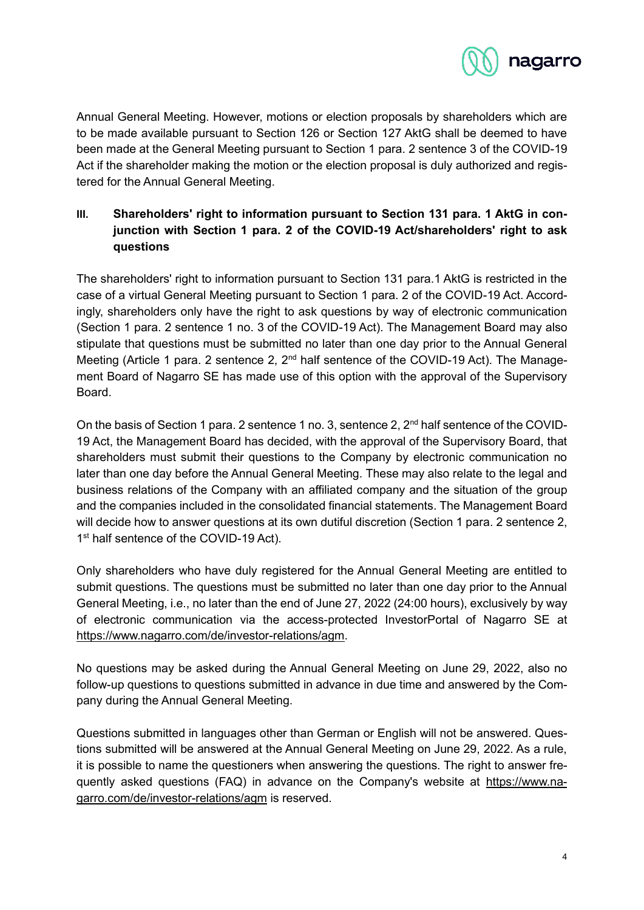

Annual General Meeting. However, motions or election proposals by shareholders which are to be made available pursuant to Section 126 or Section 127 AktG shall be deemed to have been made at the General Meeting pursuant to Section 1 para. 2 sentence 3 of the COVID-19 Act if the shareholder making the motion or the election proposal is duly authorized and registered for the Annual General Meeting.

# III. Shareholders' right to information pursuant to Section 131 para. 1 AktG in con**junction with Section 1 para. 2 of the COVID-19 Act/shareholders' right to ask questions**

The shareholders' right to information pursuant to Section 131 para.1 AktG is restricted in the case of a virtual General Meeting pursuant to Section 1 para. 2 of the COVID-19 Act. Accordingly, shareholders only have the right to ask questions by way of electronic communication (Section 1 para. 2 sentence 1 no. 3 of the COVID-19 Act). The Management Board may also stipulate that questions must be submitted no later than one day prior to the Annual General Meeting (Article 1 para. 2 sentence 2, 2<sup>nd</sup> half sentence of the COVID-19 Act). The Management Board of Nagarro SE has made use of this option with the approval of the Supervisory Board.

On the basis of Section 1 para. 2 sentence 1 no. 3, sentence 2, 2<sup>nd</sup> half sentence of the COVID-19 Act, the Management Board has decided, with the approval of the Supervisory Board, that shareholders must submit their questions to the Company by electronic communication no later than one day before the Annual General Meeting. These may also relate to the legal and business relations of the Company with an affiliated company and the situation of the group and the companies included in the consolidated financial statements. The Management Board will decide how to answer questions at its own dutiful discretion (Section 1 para. 2 sentence 2, 1<sup>st</sup> half sentence of the COVID-19 Act).

Only shareholders who have duly registered for the Annual General Meeting are entitled to submit questions. The questions must be submitted no later than one day prior to the Annual General Meeting, i.e., no later than the end of June 27, 2022 (24:00 hours), exclusively by way of electronic communication via the access-protected InvestorPortal of Nagarro SE at https://www.nagarro.com/de/investor-relations/agm.

No questions may be asked during the Annual General Meeting on June 29, 2022, also no follow-up questions to questions submitted in advance in due time and answered by the Company during the Annual General Meeting.

Questions submitted in languages other than German or English will not be answered. Questions submitted will be answered at the Annual General Meeting on June 29, 2022. As a rule, it is possible to name the questioners when answering the questions. The right to answer frequently asked questions (FAQ) in advance on the Company's website at https://www.nagarro.com/de/investor-relations/agm is reserved.